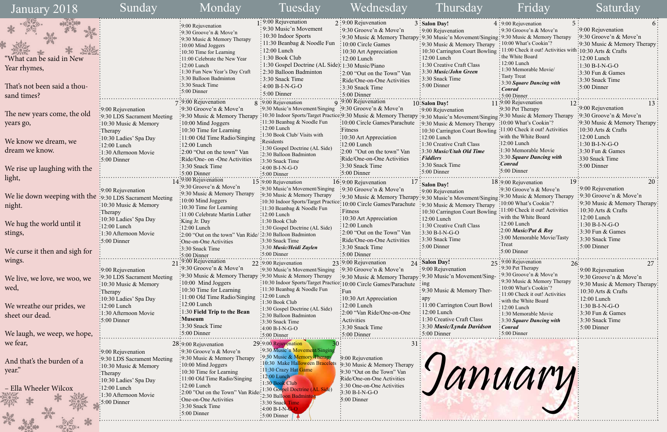|      | 5 <sup>5</sup><br>4 : 9:00 Rejuvenation                                                                                                                                                                                                                                                                                                                                                                                                                          | 6:                                  |
|------|------------------------------------------------------------------------------------------------------------------------------------------------------------------------------------------------------------------------------------------------------------------------------------------------------------------------------------------------------------------------------------------------------------------------------------------------------------------|-------------------------------------|
|      | 9:30 Groove'n & Move'n                                                                                                                                                                                                                                                                                                                                                                                                                                           | :9:00 Rejuvenation                  |
| şing | $\cdot$ 9:30 Music & Memory Therapy                                                                                                                                                                                                                                                                                                                                                                                                                              | :9:30 Groove'n & Move'n             |
| py   | 10:00 What's Cookin'?                                                                                                                                                                                                                                                                                                                                                                                                                                            | 9:30 Music & Memory Therapy         |
| ing  | 11:00 Check it out! Activities with: 10:30 Arts & Crafts                                                                                                                                                                                                                                                                                                                                                                                                         |                                     |
|      | the White Board                                                                                                                                                                                                                                                                                                                                                                                                                                                  | 12:00 Lunch                         |
|      | 12:00 Lunch                                                                                                                                                                                                                                                                                                                                                                                                                                                      | $1:30 B-I-N-G-O$                    |
|      | 1:30 Memorable Movie/                                                                                                                                                                                                                                                                                                                                                                                                                                            | 3:30 Fun & Games                    |
|      | <b>Tasty Treat</b>                                                                                                                                                                                                                                                                                                                                                                                                                                               | 3:30 Snack Time                     |
|      | 3:30 Square Dancing with                                                                                                                                                                                                                                                                                                                                                                                                                                         | 5:00 Dinner                         |
|      | <b>Conrad</b>                                                                                                                                                                                                                                                                                                                                                                                                                                                    |                                     |
|      | 5:00 Dinner<br>11:9:00 Rejuvenation                                                                                                                                                                                                                                                                                                                                                                                                                              |                                     |
|      | 12<br>:9:30 Pet Therapy                                                                                                                                                                                                                                                                                                                                                                                                                                          | 13<br>9:00 Rejuvenation             |
|      | ging :9:30 Music & Memory Therapy                                                                                                                                                                                                                                                                                                                                                                                                                                | $\frac{1}{2}9:30$ Groove'n & Move'n |
|      | :10:00 What's Cookin'?                                                                                                                                                                                                                                                                                                                                                                                                                                           | 9:30 Music & Memory Therapy         |
| py   | :11:00 Check it out! Activities                                                                                                                                                                                                                                                                                                                                                                                                                                  | 10:30 Arts $&$ Crafts               |
| ing  | with the White Board                                                                                                                                                                                                                                                                                                                                                                                                                                             | 12:00 Lunch                         |
|      | $:12:00$ Lunch                                                                                                                                                                                                                                                                                                                                                                                                                                                   | $1:30 B-I-N-G-O$                    |
|      | 1:30 Memorable Movie                                                                                                                                                                                                                                                                                                                                                                                                                                             | 3:30 Fun & Games                    |
|      | :3:30 Square Dancing with                                                                                                                                                                                                                                                                                                                                                                                                                                        | 330 Snack Time                      |
|      | Conrad:                                                                                                                                                                                                                                                                                                                                                                                                                                                          |                                     |
|      | $:5:00$ Dinner                                                                                                                                                                                                                                                                                                                                                                                                                                                   | 5:00 Dinner                         |
|      |                                                                                                                                                                                                                                                                                                                                                                                                                                                                  |                                     |
|      | 19<br>18:9:00 Rejuvenation                                                                                                                                                                                                                                                                                                                                                                                                                                       | 20                                  |
|      | $\cdot$ 9:30 Groove'n & Move'n                                                                                                                                                                                                                                                                                                                                                                                                                                   | 9:00 Rejuvenation                   |
|      | $\lim_{\xi \to 0}$ :30 Music & Memory Therapy                                                                                                                                                                                                                                                                                                                                                                                                                    | 9:30 Groove'n & Move'n              |
| py   | 10:00 What's Cookin'?                                                                                                                                                                                                                                                                                                                                                                                                                                            | 9:30 Music & Memory Therapy         |
| ing  | 11:00 Check it out! Activities                                                                                                                                                                                                                                                                                                                                                                                                                                   | 10:30 Arts $&$ Crafts               |
|      | with the White Board                                                                                                                                                                                                                                                                                                                                                                                                                                             | $12:00$ Lunch                       |
|      | 12:00 Lunch                                                                                                                                                                                                                                                                                                                                                                                                                                                      | 1:30 B-I-N-G-O                      |
|      | 2:00 Music/Pat & Roy                                                                                                                                                                                                                                                                                                                                                                                                                                             | 3:30 Fun & Games                    |
|      | 3:00 Memorable Movie/Tasty                                                                                                                                                                                                                                                                                                                                                                                                                                       | 3:30 Snack Time                     |
|      | Treat                                                                                                                                                                                                                                                                                                                                                                                                                                                            | 5:00 Dinner                         |
|      | $:5:00$ Dinner                                                                                                                                                                                                                                                                                                                                                                                                                                                   |                                     |
| 25   | $\frac{1}{2}\cdot\frac{1}{2}\cdot\frac{1}{2}\cdot\frac{1}{2}\cdot\frac{1}{2}\cdot\frac{1}{2}\cdot\frac{1}{2}\cdot\frac{1}{2}\cdot\frac{1}{2}\cdot\frac{1}{2}\cdot\frac{1}{2}\cdot\frac{1}{2}\cdot\frac{1}{2}\cdot\frac{1}{2}\cdot\frac{1}{2}\cdot\frac{1}{2}\cdot\frac{1}{2}\cdot\frac{1}{2}\cdot\frac{1}{2}\cdot\frac{1}{2}\cdot\frac{1}{2}\cdot\frac{1}{2}\cdot\frac{1}{2}\cdot\frac{1}{2}\cdot\frac{1}{2}\cdot\frac{1}{2}\cdot\frac{1}{2}\cdot\frac{1$<br>26: | 27                                  |
|      | 9:30 Pet Therapy                                                                                                                                                                                                                                                                                                                                                                                                                                                 | 9:00 Rejuvenation                   |
| 1g-  | 9:30 Groove'n & Move'n                                                                                                                                                                                                                                                                                                                                                                                                                                           | 9:30 Groove'n & Move'n              |
|      | 9:30 Music & Memory Therapy                                                                                                                                                                                                                                                                                                                                                                                                                                      | 9:30 Music & Memory Therapy:        |
|      | 10:00 What's Cookin'?                                                                                                                                                                                                                                                                                                                                                                                                                                            | 10:30 Arts & Crafts                 |
|      | 11:00 Check it out! Activities                                                                                                                                                                                                                                                                                                                                                                                                                                   | 12:00 Lunch                         |
| 1    | with the White Board                                                                                                                                                                                                                                                                                                                                                                                                                                             | $1:30 B-I-N-G-O$                    |
|      | 12:00 Lunch                                                                                                                                                                                                                                                                                                                                                                                                                                                      | 3:30 Fun & Games                    |
|      | 1:30 Memorable Movie<br>3:30 Square Dancing with                                                                                                                                                                                                                                                                                                                                                                                                                 | 3:30 Snack Time                     |
| ı    | $:$ Conrad                                                                                                                                                                                                                                                                                                                                                                                                                                                       | 5:00 Dinner                         |
|      | 5:00 Dinner                                                                                                                                                                                                                                                                                                                                                                                                                                                      |                                     |
|      |                                                                                                                                                                                                                                                                                                                                                                                                                                                                  |                                     |

| January 2018                                             | Sunday                             | Monday                                                                       | <u>l'uesday</u>                                                    | Wednesday                                                          | Thursday                                                                                          | Fridav                                                   | Saturday                                      |
|----------------------------------------------------------|------------------------------------|------------------------------------------------------------------------------|--------------------------------------------------------------------|--------------------------------------------------------------------|---------------------------------------------------------------------------------------------------|----------------------------------------------------------|-----------------------------------------------|
|                                                          |                                    | :9:00 Rejuvenation                                                           | 1:9:00 Rejuvenation                                                | $2:9:00$ Rejuvenation                                              | 3: Salon Day!                                                                                     | $4:9:00$ Rejuvenation                                    |                                               |
| ⋇                                                        |                                    | :9:30 Groove'n & Move'n                                                      | : 9:30 Music'n Movement                                            | $\frac{1}{2}$ 9:30 Groove'n & Move'n                               | $\frac{1}{2}9:00$ Rejuvenation                                                                    | : 9:30 Groove'n $& \text{Move'}n$                        | :9:00 Rejuvenation                            |
|                                                          |                                    | :9:30 Music & Memory Therapy                                                 | 10:30 Indoor Sports                                                |                                                                    | : 9:30 Music & Memory Therapy: 9:30 Music'n Movement/Singing: 9:30 Music & Memory Therapy         |                                                          | :9:30 Groove'n & Move'n                       |
|                                                          |                                    | :10:00 Mind Joggers                                                          | : 11:30 Beanbag & Noodle Fun                                       | $\frac{1}{2}10:00$ Circle Games                                    | $\frac{1}{2}9:30$ Music & Memory Therapy                                                          | $\div 10:00$ What's Cookin'?                             | :9:30 Music & Memory Therapy                  |
|                                                          |                                    | $: 10:30$ Time for Learning                                                  | $: 12:00$ Lunch                                                    | $\frac{1}{2}10:30$ Art Appreciation                                | 10:30 Carrington Court Bowling : 11:00 Check it out! Activities wit                               | the White Board                                          | $h:10:30$ Arts & Crafts                       |
| 'What can be said in New                                 |                                    | :11:00 Celebrate the New Year                                                | : 1:30 Book Club                                                   | $: 12:00$ Lunch                                                    | $: 12:00$ Lunch                                                                                   | $\frac{1}{2}12:00$ Lunch                                 | $\frac{12:00}{2}$ Lunch                       |
| Year rhymes,                                             |                                    | :12:00 Lunch                                                                 | : 1:30 Gospel Doctrine (AL Side): 1:30 Music/Piano                 |                                                                    | : 1:30 Creative Craft Class                                                                       | : 1:30 Memorable Movie/                                  | $-1:30 B-I-N-G-O$                             |
|                                                          |                                    | :1:30 Fun New Year's Day Craft<br>:3:30 Balloon Badminton                    | : 2:30 Balloon Badminton                                           | :2:00 "Out on the Town" Van                                        | :3:30 Music/John Green                                                                            | : Tasty Treat                                            | $\frac{1}{2}$ :30 Fun & Games                 |
|                                                          |                                    | :3:30 Snack Time                                                             | : 3:30 Snack Time                                                  | : Ride/One-on-One Activities                                       | : 3:30 Snack Time<br>$: 5:00$ Dinner                                                              | : 3:30 Square Dancing with                               | 3:30 Snack Time                               |
| That's not been said a thou-                             |                                    | :5:00 Dinner                                                                 | $:4:00 B-I-N-G-O$                                                  | :3:30 Snack Time                                                   |                                                                                                   | $\frac{1}{2}$ <i>Conrad</i>                              | $\frac{1}{2}$ 5:00 Dinner                     |
| sand times?                                              |                                    |                                                                              | $\frac{1}{2}$ 5:00 Dinner                                          | $:5:00$ Dinner                                                     |                                                                                                   | $:5:00$ Dinner                                           |                                               |
|                                                          |                                    | 9:00 Rejuvenation                                                            | 8 :9:00 Rejuvenation                                               | 9:00 Rejuvenation                                                  | 10: Salon Day!                                                                                    | 11:9:00 Rejuvenation                                     |                                               |
| The new years come, the old                              | :9:00 Rejuvenation                 | $\frac{1}{2}9:30$ Groove'n & Move'n                                          | $\frac{1}{2}$ 9:30 Music'n Movement/Singing                        | :9:30 Groove'n & Move'n                                            | :9:00 Rejuvenation                                                                                | :9:30 Pet Therapy                                        | $\frac{1}{2}9:00$ Rejuvenation                |
|                                                          | :9:30 LDS Sacrament Meeting        | $\frac{1}{2}$ 9:30 Music & Memory Therapy                                    |                                                                    |                                                                    | :10:30 Indoor Sports/Target Practice: 9:30 Music & Memory Therapy : 9:30 Music'n Movement/Singing | . 9:30 Music & Memory Therapy                            | :9:30 Groove'n & Move'n                       |
| years go,                                                | :10:30 Music & Memory              | :10:00 Mind Joggers                                                          | :11:30 Beanbag & Noodle Fun<br>:12:00 Lunch                        | :10:00 Circle Games/Parachute                                      | :9:30 Music & Memory Therapy                                                                      | :10:00 What's Cookin'?                                   | :9:30 Music & Memory Therapy                  |
|                                                          | :Therapy                           | $\frac{1}{2}10:30$ Time for Learning                                         | :1:30 Book Club/ Visits with                                       | :Fitness                                                           | :10:30 Carrington Court Bowling :11:00 Check it out! Activities                                   |                                                          | $\frac{10:30 \text{ Arts}}{8}$ Crafts         |
| We know we dream, we                                     | :10:30 Ladies' Spa Day             | $\frac{1}{2}$ 11:00 Old Time Radio/Singing                                   | Residents                                                          | :10:30 Art Appreciation                                            | $: 12:00$ Lunch                                                                                   | with the White Board                                     | $\frac{1}{2}12:00$ Lunch                      |
|                                                          | $\frac{12:00 \text{ Lunch}}{2}$    | $:12:00$ Lunch                                                               | :1:30 Gospel Doctrine (AL Side)                                    | :12:00 Lunch                                                       | $\frac{1}{2}$ 1:30 Creative Craft Class                                                           | $:12:00$ Lunch<br>:1:30 Memorable Movie                  | $\frac{1}{2}1:30 B-I-N-G-O$                   |
| dream we know.                                           | 1:30 Afternoon Movie               | $\frac{1}{2}$ :00 "Out on the town" Van                                      | :2:30 Balloon Badminton                                            | :2:00 "Out on the town" Van                                        | $\frac{1}{2}$ 3:30 Music/Utah Old Time                                                            | :3:30 Square Dancing with                                | $\frac{1}{2}$ :30 Fun & Games                 |
|                                                          | $\frac{.}{.5:00}$ Dinner           | :Ride/One- on -One Activities                                                | :3:30 Snack Time                                                   | Ride/One-on-One Activities                                         | $\div$ Fiddlers<br>:3:30 Snack Time                                                               | :Conrad                                                  | :330 Snack Time                               |
| We rise up laughing with the                             |                                    | :3:30 Snack Time                                                             | $\frac{1}{2}4:00 B-I-N-G-O$                                        | :3:30 Snack Time                                                   | :5:00 Dinner                                                                                      | $:5:00$ Dinner                                           | $\frac{1}{2}$ :00 Dinner                      |
| light,                                                   |                                    | $:5:00$ Dinner                                                               | :5:00 Dinner                                                       | $:5:00$ Dinner                                                     |                                                                                                   |                                                          |                                               |
|                                                          |                                    | $14:9:00$ Rejuvenation                                                       | 15:9:00 Rejuvenation                                               | 16:9:00 Rejuvenation                                               | $1/$ : Salon Day!                                                                                 | 18:9:00 Rejuvenation                                     | 20                                            |
|                                                          | :9:00 Rejuvenation                 | :9:30 Groove'n & Move'n                                                      | :9:30 Music'n Movement/Singing                                     | :9:30 Groove'n & Move'n                                            | $\frac{1}{2}9:00$ Rejuvenation                                                                    | $: 9:30$ Groove'n & Move'n                               | $\frac{1}{2}9:00$ Rejuvenation                |
| We lie down weeping with the :9:30 LDS Sacrament Meeting |                                    | :9:30 Music & Memory Therapy                                                 | :9:30 Music & Memory Therapy                                       |                                                                    | :9:30 Music & Memory Therapy: 9:30 Music'n Movement/Singing                                       | .9:30 Music & Memory Therapy                             | :9:30 Groove'n & Move'n                       |
| night.                                                   | $\frac{1}{2}10:30$ Music & Memory  | :10:00 Mind Joggers<br>:10:30 Time for Learning                              | :10:30 Indoor Sports/Target Practice: 10:00 Circle Games/Parachute |                                                                    | :9:30 Music & Memory Therapy                                                                      | $\frac{10:00 \text{ What's Cookin'}}{2}$                 | :9:30 Music & Memory Therapy                  |
|                                                          | $\therefore$ Therapy               | :11:00 Celebrate Martin Luther                                               | :11:30 Beanbag & Noodle Fun                                        | ∶Fitness                                                           | 10:30 Carrington Court Bowling : 11:00 Check it out! Activities                                   |                                                          | $\frac{10:30 \text{ Arts}}{8 \text{ Crafts}}$ |
|                                                          | :10:30 Ladies' Spa Day             | :King Jr. Day                                                                | $\frac{12:00}{2}$ Lunch<br>:1:30 Book Club                         | $\frac{10:30 \text{ Art} \text{ Appreciation}}{10:30 \text{ Art}}$ | : 12:00 Lunch                                                                                     | :with the White Board                                    | $\div 12:00$ Lunch                            |
| We hug the world until it                                | $:12:00$ Lunch                     | $\frac{1}{2}12:00$ Lunch                                                     | :1:30 Gospel Doctrine (AL Side)                                    | $\frac{12:00}{2}$ Lunch                                            | : 1:30 Creative Craft Class                                                                       | :12:00 Lunch                                             | $\frac{1}{2}1:30 B-I-N-G-O$                   |
| stings,                                                  | :1:30 Afternoon Movie              | $\cdot$ 2:00 "Out on the town" Van Ride/                                     | :2:30 Balloon Badminton                                            | :2:00 "Out on the Town" Van                                        | $: 3:30 B-I-N-G-O$                                                                                | $:2:00$ Music/Pat & Roy                                  | $\frac{1}{2}$ :30 Fun & Games                 |
|                                                          | $\frac{1}{2}$ :5:00 Dinner         | :One-on-One Activities                                                       | ∙3:30 Snack Time                                                   | Ride/One-on-One Activities                                         | :3:30 Snack Time                                                                                  | :3:00 Memorable Movie/Tasty                              | :3:30 Snack Time                              |
|                                                          |                                    | $\frac{1}{2}$ :30 Snack Time                                                 | :3:30 Music/Heidi Zaylen                                           | 3:30 Snack Time                                                    | $\frac{1}{2}$ 5:00 Dinner                                                                         | :Treat                                                   | $\frac{1}{2}$ 5:00 Dinner                     |
| We curse it then and sigh for                            |                                    | $:5:00$ Dinner                                                               | $:5:00$ Dinner                                                     | $\frac{1}{2}$ 5:00 Dinner                                          |                                                                                                   | $\frac{1}{2}$ 5:00 Dinner                                |                                               |
| wings.                                                   |                                    | $21:9:00$ Rejuvenation                                                       | 22:9:00 Rejuvenation                                               | 23:9:00 Rejuvenation                                               | 24 Salon Day!                                                                                     | 25:9:00 Rejuvenation<br>26:                              | 27                                            |
|                                                          | :9:00 Rejuvenation                 | :9:30 Groove'n $&$ Move'n                                                    | :9:30 Music'n Movement/Singing                                     | :9:30 Groove'n & Move'n                                            | : 9:00 Rejuvenation                                                                               | : 9:30 Pet Therapy                                       | :9:00 Rejuvenation                            |
| We live, we love, we woo, we                             | :9:30 LDS Sacrament Meeting        | :9:30 Music & Memory Therapy :9:30 Music & Memory Therapy                    |                                                                    |                                                                    | :9:30 Music & Memory Therapy: 9:30 Music'n Movement/Sing-                                         | : 9:30 Groove'n & Move'n                                 | :9:30 Groove'n & Move'n                       |
|                                                          | $:10:30$ Music & Memory            | $:10:00$ Mind Joggers                                                        | :10:30 Indoor Sports/Target Practice: 10:00 Circle Games/Parachute |                                                                    | $\therefore$ ing                                                                                  | : 9:30 Music & Memory Therapy                            | :9:30 Music & Memory Therapy                  |
| wed,                                                     | :Therapy                           | :10:30 Time for Learning                                                     | :11:30 Beanbag & Noodle Fun                                        | :Fun                                                               | :9:30 Music & Memory Ther-                                                                        | : 10:00 What's Cookin'?                                  | $\frac{1}{2}10:30$ Arts & Crafts              |
|                                                          | :10:30 Ladies' Spa Day             | $: 11:00$ Old Time Radio/Singing                                             | $\frac{12:00}{2}$ Lunch                                            | :10:30 Art Appreciation                                            | $:$ apy                                                                                           | : 11:00 Check it out! Activities<br>with the White Board | $\frac{1}{2}12:00$ Lunch                      |
| We wreathe our prides, we                                | $:12:00$ Lunch                     | :12:00 Lunch                                                                 | :1:30 Book Club                                                    | 12:00 Lunch                                                        | :11:00 Carrington Court Bowl                                                                      | $: 12:00$ Lunch                                          | $\frac{1}{2}1:30 B-I-N-G-O$                   |
| sheet our dead.                                          | :1:30 Afternoon Movie              | :1:30 Field Trip to the Bean                                                 | :1:30 Gospel Doctrine (AL Side)<br>:2:30 Balloon Badminton         | :2:00 "Van Ride/One-on-One                                         | :12:00 Lunch                                                                                      | : 1:30 Memorable Movie                                   | $\frac{1}{2}$ :30 Fun & Games                 |
|                                                          | :5:00 Dinner                       | :Museum                                                                      | :3:30 Snack Time                                                   | Activities                                                         | : 1:30 Creative Craft Class                                                                       | : 3:30 Square Dancing with                               | $\frac{1}{2}$ :30 Snack Time                  |
|                                                          |                                    | :3:30 Snack Time                                                             | $:4:00 B-I-N-G-O$                                                  | :3:30 Snack Time                                                   | :3:30 Music/Lynda Davidson                                                                        | $\cdot$ Conrad                                           | $\frac{1}{2}$ 5:00 Dinner                     |
| We laugh, we weep, we hope,                              |                                    | $:5:00$ Dinner                                                               | $:5:00$ Dinner                                                     | $:5:00$ Dinner                                                     | $\div 5:00$ Dinner                                                                                | : 5:00 Dinner                                            |                                               |
| we fear,                                                 |                                    |                                                                              | 29:9:00 Rejuvenation                                               |                                                                    |                                                                                                   |                                                          |                                               |
|                                                          |                                    | 28:9:00 Rejuvenation<br>$\frac{1}{2}9:30$ Groove'n & Move'n                  | :9:30 Music'n Movement/Singing                                     |                                                                    |                                                                                                   |                                                          |                                               |
|                                                          | :9:00 Rejuvenation                 |                                                                              | :9:30 Music & Memory Therapy                                       | 9:00 Rejuvenation                                                  |                                                                                                   |                                                          |                                               |
| And that's the burden of a                               | :9:30 LDS Sacrament Meeting        | $\frac{1}{2}$ 9:30 Music & Memory Therapy<br>$\frac{1}{2}10:00$ Mind Joggers | :10:30 Make Halloween Bracelets                                    | 9:30 Music & Memory Therapy                                        |                                                                                                   |                                                          |                                               |
| year."                                                   | $\frac{1}{2}10:30$ Music & Memory  |                                                                              | $\cdot$ 11:30 Crazy Hat Game                                       | 9:30 "Out on the Town" Van                                         |                                                                                                   |                                                          |                                               |
|                                                          | $\therefore$ Therapy               | $\frac{1}{2}10:30$ Time for Learning<br>:11:00 Old Time Radio/Singing        | $:12:00$ Lunch                                                     | Ride/One-on-One Activities                                         | January                                                                                           |                                                          |                                               |
|                                                          | $\frac{1}{2}10:30$ Ladies' Spa Day | :12:00 Lunch                                                                 | :1:30 Book Club                                                    | :1:30 One-on-One Activities                                        |                                                                                                   |                                                          |                                               |
| - Ella Wheeler Wilcox                                    | $:12:00$ Lunch                     | :2:00 "Out on the Town" Van Ride                                             | :1:30 Gospel Doctrine (AL Side)                                    | $3:30 B-I-N-G-O$                                                   |                                                                                                   |                                                          |                                               |
|                                                          | :1:30 Afternoon Movie              | :One-on-One Activities                                                       | 2:30 Balloon Badminton                                             | 5:00 Dinner                                                        |                                                                                                   |                                                          |                                               |
|                                                          | 5:00 Dinner                        | :3:30 Snack Time                                                             | :3:30 Snack Time                                                   |                                                                    |                                                                                                   |                                                          |                                               |
|                                                          |                                    | $\frac{1}{2}$ :00 Dinner                                                     | $:4:00 B-I-N-G$                                                    |                                                                    |                                                                                                   |                                                          |                                               |
|                                                          |                                    |                                                                              | : $5:00$ Dinner                                                    |                                                                    |                                                                                                   |                                                          |                                               |
|                                                          |                                    |                                                                              |                                                                    |                                                                    |                                                                                                   |                                                          |                                               |
|                                                          |                                    |                                                                              |                                                                    |                                                                    |                                                                                                   |                                                          |                                               |